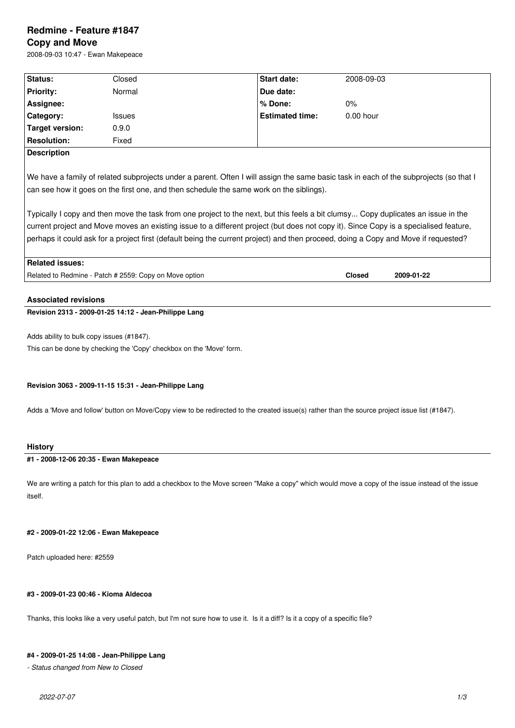# **Redmine - Feature #1847 Copy and Move**

2008-09-03 10:47 - Ewan Makepeace

| <b>Status:</b>              | Closed                                                                                                                                                                                                                                                                                                                                                                                                          | <b>Start date:</b>     | 2008-09-03                  |  |
|-----------------------------|-----------------------------------------------------------------------------------------------------------------------------------------------------------------------------------------------------------------------------------------------------------------------------------------------------------------------------------------------------------------------------------------------------------------|------------------------|-----------------------------|--|
| <b>Priority:</b>            | Normal                                                                                                                                                                                                                                                                                                                                                                                                          | Due date:              |                             |  |
| Assignee:                   |                                                                                                                                                                                                                                                                                                                                                                                                                 | $%$ Done:              | 0%                          |  |
| Category:                   | <b>Issues</b>                                                                                                                                                                                                                                                                                                                                                                                                   | <b>Estimated time:</b> | $0.00$ hour                 |  |
| Target version:             | 0.9.0                                                                                                                                                                                                                                                                                                                                                                                                           |                        |                             |  |
| <b>Resolution:</b>          | Fixed                                                                                                                                                                                                                                                                                                                                                                                                           |                        |                             |  |
| <b>Description</b>          |                                                                                                                                                                                                                                                                                                                                                                                                                 |                        |                             |  |
|                             | Typically I copy and then move the task from one project to the next, but this feels a bit clumsy Copy duplicates an issue in the<br>current project and Move moves an existing issue to a different project (but does not copy it). Since Copy is a specialised feature,<br>perhaps it could ask for a project first (default being the current project) and then proceed, doing a Copy and Move if requested? |                        |                             |  |
| <b>Related issues:</b>      |                                                                                                                                                                                                                                                                                                                                                                                                                 |                        |                             |  |
|                             | Related to Redmine - Patch # 2559: Copy on Move option                                                                                                                                                                                                                                                                                                                                                          |                        | <b>Closed</b><br>2009-01-22 |  |
| <b>Associated revisions</b> | Revision 2313 - 2009-01-25 14:12 - Jean-Philippe Lang                                                                                                                                                                                                                                                                                                                                                           |                        |                             |  |

Adds ability to bulk copy issues (#1847).

This can be done by checking the 'Copy' checkbox on the 'Move' form.

### **Revision 3063 - 2009-11-15 15:31 - Jean-Philippe Lang**

Adds a 'Move and follow' button on Move/Copy view to be redirected to the created issue(s) rather than the source project issue list (#1847).

# **History**

# **#1 - 2008-12-06 20:35 - Ewan Makepeace**

We are writing a patch for this plan to add a checkbox to the Move screen "Make a copy" which would move a copy of the issue instead of the issue itself.

### **#2 - 2009-01-22 12:06 - Ewan Makepeace**

Patch uploaded here: #2559

### **#3 - 2009-01-23 00:46 - Kioma Aldecoa**

Thanks, this looks like a very useful patch, but I'm not sure how to use it. Is it a diff? Is it a copy of a specific file?

### **#4 - 2009-01-25 14:08 - Jean-Philippe Lang**

*- Status changed from New to Closed*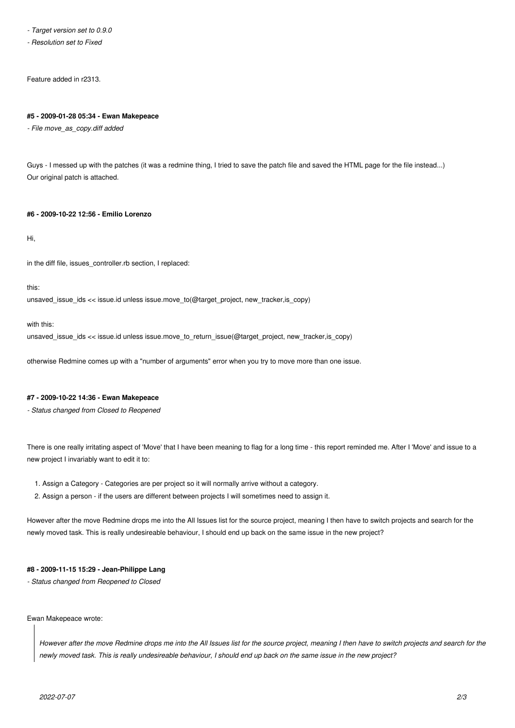*- Target version set to 0.9.0*

*- Resolution set to Fixed*

Feature added in r2313.

#### **#5 - 2009-01-28 05:34 - Ewan Makepeace**

*- File move\_as\_copy.diff added*

Guys - I messed up with the patches (it was a redmine thing, I tried to save the patch file and saved the HTML page for the file instead...) Our original patch is attached.

### **#6 - 2009-10-22 12:56 - Emilio Lorenzo**

Hi,

in the diff file, issues\_controller.rb section, I replaced:

this:

unsaved issue ids << issue.id unless issue.move to(@target\_project, new\_tracker, is\_copy)

with this:

unsaved\_issue\_ids << issue.id unless issue.move\_to\_return\_issue(@target\_project, new\_tracker,is\_copy)

otherwise Redmine comes up with a "number of arguments" error when you try to move more than one issue.

#### **#7 - 2009-10-22 14:36 - Ewan Makepeace**

*- Status changed from Closed to Reopened*

There is one really irritating aspect of 'Move' that I have been meaning to flag for a long time - this report reminded me. After I 'Move' and issue to a new project I invariably want to edit it to:

- 1. Assign a Category Categories are per project so it will normally arrive without a category.
- 2. Assign a person if the users are different between projects I will sometimes need to assign it.

However after the move Redmine drops me into the All Issues list for the source project, meaning I then have to switch projects and search for the newly moved task. This is really undesireable behaviour, I should end up back on the same issue in the new project?

#### **#8 - 2009-11-15 15:29 - Jean-Philippe Lang**

*- Status changed from Reopened to Closed*

#### Ewan Makepeace wrote:

*However after the move Redmine drops me into the All Issues list for the source project, meaning I then have to switch projects and search for the newly moved task. This is really undesireable behaviour, I should end up back on the same issue in the new project?*